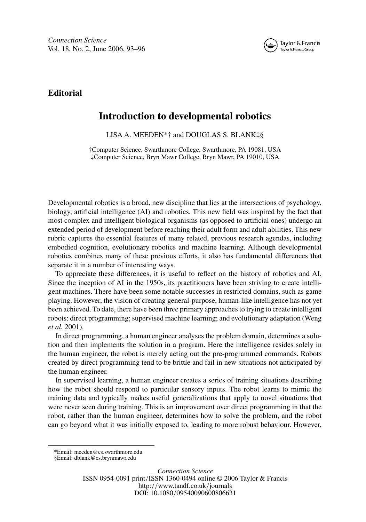

## **Editorial**

## **Introduction to developmental robotics**

LISA A. MEEDEN\*† and DOUGLAS S. BLANK‡§

†Computer Science, Swarthmore College, Swarthmore, PA 19081, USA ‡Computer Science, Bryn Mawr College, Bryn Mawr, PA 19010, USA

Developmental robotics is a broad, new discipline that lies at the intersections of psychology, biology, artificial intelligence (AI) and robotics. This new field was inspired by the fact that most complex and intelligent biological organisms (as opposed to artificial ones) undergo an extended period of development before reaching their adult form and adult abilities. This new rubric captures the essential features of many related, previous research agendas, including embodied cognition, evolutionary robotics and machine learning. Although developmental robotics combines many of these previous efforts, it also has fundamental differences that separate it in a number of interesting ways.

To appreciate these differences, it is useful to reflect on the history of robotics and AI. Since the inception of AI in the 1950s, its practitioners have been striving to create intelligent machines. There have been some notable successes in restricted domains, such as game playing. However, the vision of creating general-purpose, human-like intelligence has not yet been achieved. To date, there have been three primary approaches to trying to create intelligent robots: direct programming; supervised machine learning; and evolutionary adaptation (Weng *et al.* 2001).

In direct programming, a human engineer analyses the problem domain, determines a solution and then implements the solution in a program. Here the intelligence resides solely in the human engineer, the robot is merely acting out the pre-programmed commands. Robots created by direct programming tend to be brittle and fail in new situations not anticipated by the human engineer.

In supervised learning, a human engineer creates a series of training situations describing how the robot should respond to particular sensory inputs. The robot learns to mimic the training data and typically makes useful generalizations that apply to novel situations that were never seen during training. This is an improvement over direct programming in that the robot, rather than the human engineer, determines how to solve the problem, and the robot can go beyond what it was initially exposed to, leading to more robust behaviour. However,

*Connection Science* ISSN 0954-0091 print*/*ISSN 1360-0494 online © 2006 Taylor & Francis http:*//*www.tandf.co.uk*/*journals DOI: 10.1080*/*09540090600806631

<sup>\*</sup>Email: meeden@cs.swarthmore.edu

<sup>§</sup>Email: dblank@cs.brynmawr.edu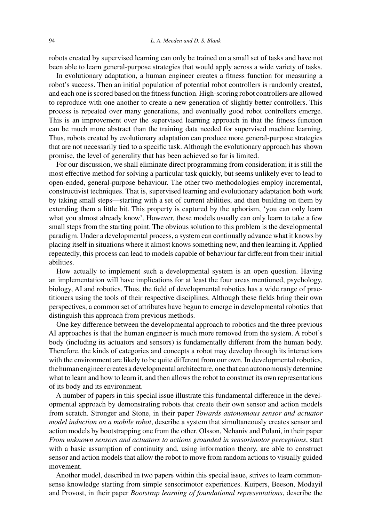robots created by supervised learning can only be trained on a small set of tasks and have not been able to learn general-purpose strategies that would apply across a wide variety of tasks.

In evolutionary adaptation, a human engineer creates a fitness function for measuring a robot's success. Then an initial population of potential robot controllers is randomly created, and each one is scored based on the fitness function. High-scoring robot controllers are allowed to reproduce with one another to create a new generation of slightly better controllers. This process is repeated over many generations, and eventually good robot controllers emerge. This is an improvement over the supervised learning approach in that the fitness function can be much more abstract than the training data needed for supervised machine learning. Thus, robots created by evolutionary adaptation can produce more general-purpose strategies that are not necessarily tied to a specific task. Although the evolutionary approach has shown promise, the level of generality that has been achieved so far is limited.

For our discussion, we shall eliminate direct programming from consideration; it is still the most effective method for solving a particular task quickly, but seems unlikely ever to lead to open-ended, general-purpose behaviour. The other two methodologies employ incremental, constructivist techniques. That is, supervised learning and evolutionary adaptation both work by taking small steps—starting with a set of current abilities, and then building on them by extending them a little bit. This property is captured by the aphorism, 'you can only learn what you almost already know'. However, these models usually can only learn to take a few small steps from the starting point. The obvious solution to this problem is the developmental paradigm. Under a developmental process, a system can continually advance what it knows by placing itself in situations where it almost knows something new, and then learning it. Applied repeatedly, this process can lead to models capable of behaviour far different from their initial abilities.

How actually to implement such a developmental system is an open question. Having an implementation will have implications for at least the four areas mentioned, psychology, biology, AI and robotics. Thus, the field of developmental robotics has a wide range of practitioners using the tools of their respective disciplines. Although these fields bring their own perspectives, a common set of attributes have begun to emerge in developmental robotics that distinguish this approach from previous methods.

One key difference between the developmental approach to robotics and the three previous AI approaches is that the human engineer is much more removed from the system. A robot's body (including its actuators and sensors) is fundamentally different from the human body. Therefore, the kinds of categories and concepts a robot may develop through its interactions with the environment are likely to be quite different from our own. In developmental robotics, the human engineer creates a developmental architecture, one that can autonomously determine what to learn and how to learn it, and then allows the robot to construct its own representations of its body and its environment.

A number of papers in this special issue illustrate this fundamental difference in the developmental approach by demonstrating robots that create their own sensor and action models from scratch. Stronger and Stone, in their paper *Towards autonomous sensor and actuator model induction on a mobile robot*, describe a system that simultaneously creates sensor and action models by bootstrapping one from the other. Olsson, Nehaniv and Polani, in their paper *From unknown sensors and actuators to actions grounded in sensorimotor perceptions*, start with a basic assumption of continuity and, using information theory, are able to construct sensor and action models that allow the robot to move from random actions to visually guided movement.

Another model, described in two papers within this special issue, strives to learn commonsense knowledge starting from simple sensorimotor experiences. Kuipers, Beeson, Modayil and Provost, in their paper *Bootstrap learning of foundational representations*, describe the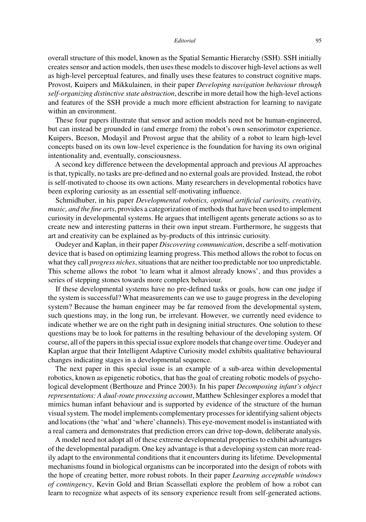## *Editorial* 95

overall structure of this model, known as the Spatial Semantic Hierarchy (SSH). SSH initially creates sensor and action models, then uses these models to discover high-level actions as well as high-level perceptual features, and finally uses these features to construct cognitive maps. Provost, Kuipers and Mikkulainen, in their paper *Developing navigation behaviour through self-organizing distinctive state abstraction*, describe in more detail how the high-level actions and features of the SSH provide a much more efficient abstraction for learning to navigate within an environment.

These four papers illustrate that sensor and action models need not be human-engineered, but can instead be grounded in (and emerge from) the robot's own sensorimotor experience. Kuipers, Beeson, Modayil and Provost argue that the ability of a robot to learn high-level concepts based on its own low-level experience is the foundation for having its own original intentionality and, eventually, consciousness.

A second key difference between the developmental approach and previous AI approaches is that, typically, no tasks are pre-defined and no external goals are provided. Instead, the robot is self-motivated to choose its own actions. Many researchers in developmental robotics have been exploring curiosity as an essential self-motivating influence.

Schmidhuber, in his paper *Developmental robotics, optimal artificial curiosity, creativity, music, and the fine arts*, provides a categorization of methods that have been used to implement curiosity in developmental systems. He argues that intelligent agents generate actions so as to create new and interesting patterns in their own input stream. Furthermore, he suggests that art and creativity can be explained as by-products of this intrinsic curiosity.

Oudeyer and Kaplan, in their paper *Discovering communication*, describe a self-motivation device that is based on optimizing learning progress. This method allows the robot to focus on what they call *progress niches*, situations that are neither too predictable nor too unpredictable. This scheme allows the robot 'to learn what it almost already knows', and thus provides a series of stepping stones towards more complex behaviour.

If these developmental systems have no pre-defined tasks or goals, how can one judge if the system is successful? What measurements can we use to gauge progress in the developing system? Because the human engineer may be far removed from the developmental system, such questions may, in the long run, be irrelevant. However, we currently need evidence to indicate whether we are on the right path in designing initial structures. One solution to these questions may be to look for patterns in the resulting behaviour of the developing system. Of course, all of the papers in this special issue explore models that change over time. Oudeyer and Kaplan argue that their Intelligent Adaptive Curiosity model exhibits qualitative behavioural changes indicating stages in a developmental sequence.

The next paper in this special issue is an example of a sub-area within developmental robotics, known as epigenetic robotics, that has the goal of creating robotic models of psychological development (Berthouze and Prince 2003). In his paper *Decomposing infant's object representations: A dual-route processing account*, Matthew Schlesinger explores a model that mimics human infant behaviour and is supported by evidence of the structure of the human visual system. The model implements complementary processes for identifying salient objects and locations (the 'what'and 'where'channels). This eye-movement model is instantiated with a real camera and demonstrates that prediction errors can drive top-down, deliberate analysis.

A model need not adopt all of these extreme developmental properties to exhibit advantages of the developmental paradigm. One key advantage is that a developing system can more readily adapt to the environmental conditions that it encounters during its lifetime. Developmental mechanisms found in biological organisms can be incorporated into the design of robots with the hope of creating better, more robust robots. In their paper *Learning acceptable windows of contingency*, Kevin Gold and Brian Scassellati explore the problem of how a robot can learn to recognize what aspects of its sensory experience result from self-generated actions.